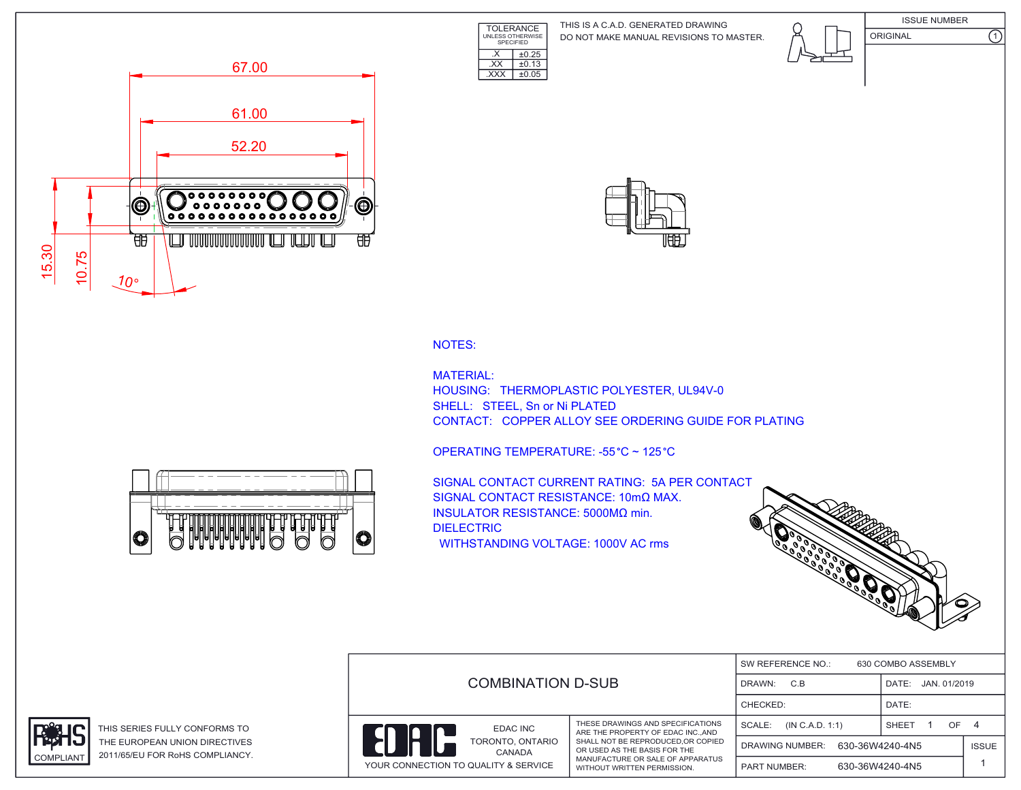TOLERANCE UNLESS OTHERWISE SPECIFIED DO NOT MAKE MANUAL REVISIONS TO MASTER. THIS IS A C.A.D. GENERATED DRAWING









NOTES:

MATERIAL: HOUSING: THERMOPLASTIC POLYESTER, UL94V-0 SHELL: STEEL, Sn or Ni PLATED CONTACT: COPPER ALLOY SEE ORDERING GUIDE FOR PLATING

OPERATING TEMPERATURE: -55 °C ~ 125 °C

 $\overline{\text{EXX}}$   $\pm 0.13$ .XXX ±0.05

 $\overline{\text{X}}$   $\overline{\text{+0.25}}$ 

 $\overline{\circ}$ 10 r

SIGNAL CONTACT CURRENT RATING: 5A PER CONTACT SIGNAL CONTACT RESISTANCE: 10mΩ MAX. INSULATOR RESISTANCE: 5000MΩ min. DIELECTRIC WITHSTANDING VOLTAGE: 1000V AC rms



|                                      |                                                                                                         | 630 COMBO ASSEMBLY<br>SW REFERENCE NO.: |                       |              |  |  |
|--------------------------------------|---------------------------------------------------------------------------------------------------------|-----------------------------------------|-----------------------|--------------|--|--|
|                                      | <b>COMBINATION D-SUB</b>                                                                                |                                         | JAN. 01/2019<br>DATE: |              |  |  |
|                                      |                                                                                                         |                                         | DATE:                 |              |  |  |
| EDAC INC                             | THESE DRAWINGS AND SPECIFICATIONS<br>ARE THE PROPERTY OF EDAC INCAND                                    | SCALE:<br>(IN C.A.D. 1:1)               | SHEET<br>OF.          | -4           |  |  |
| Ĥ                                    | TORONTO, ONTARIO<br>SHALL NOT BE REPRODUCED, OR COPIED<br>OR USED AS THE BASIS FOR THE<br><b>CANADA</b> | 630-36W4240-4N5<br>DRAWING NUMBER:      |                       | <b>ISSUE</b> |  |  |
| YOUR CONNECTION TO QUALITY & SERVICE | MANUFACTURE OR SALE OF APPARATUS<br>WITHOUT WRITTEN PERMISSION.                                         | <b>PART NUMBER:</b>                     | 630-36W4240-4N5       |              |  |  |



THIS SERIES FULLY CONFORMS TO THE EUROPEAN UNION DIRECTIVES COMPLIANT 2011/65/EU FOR RoHS COMPLIANCY.

O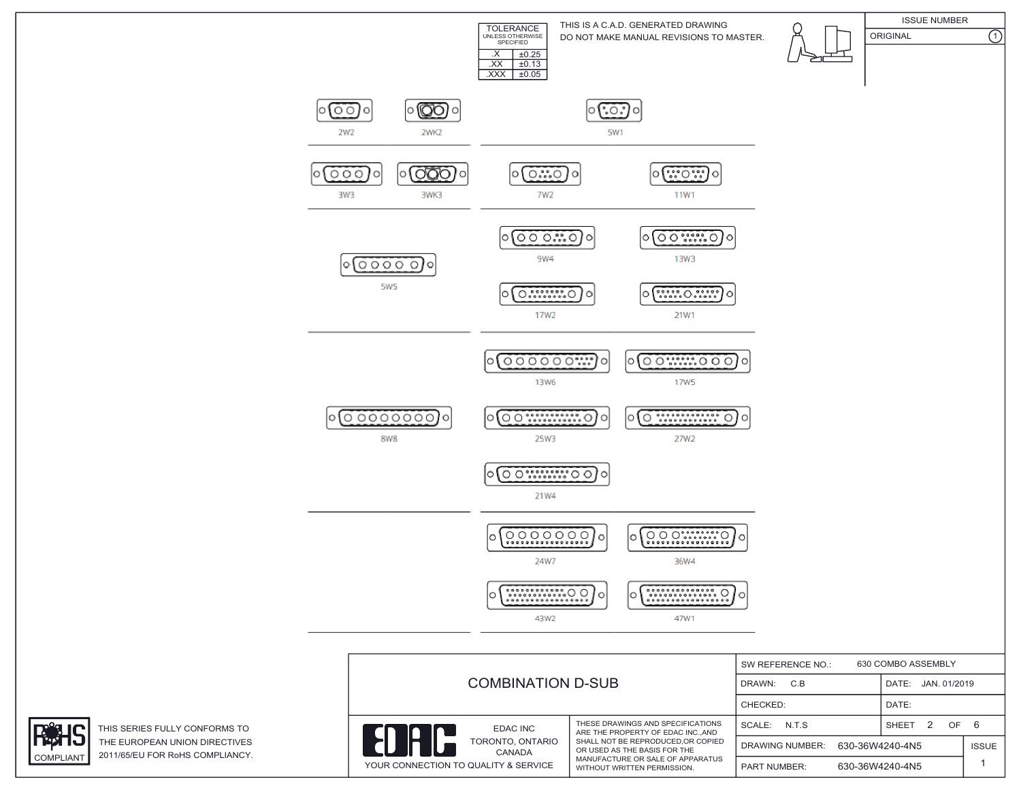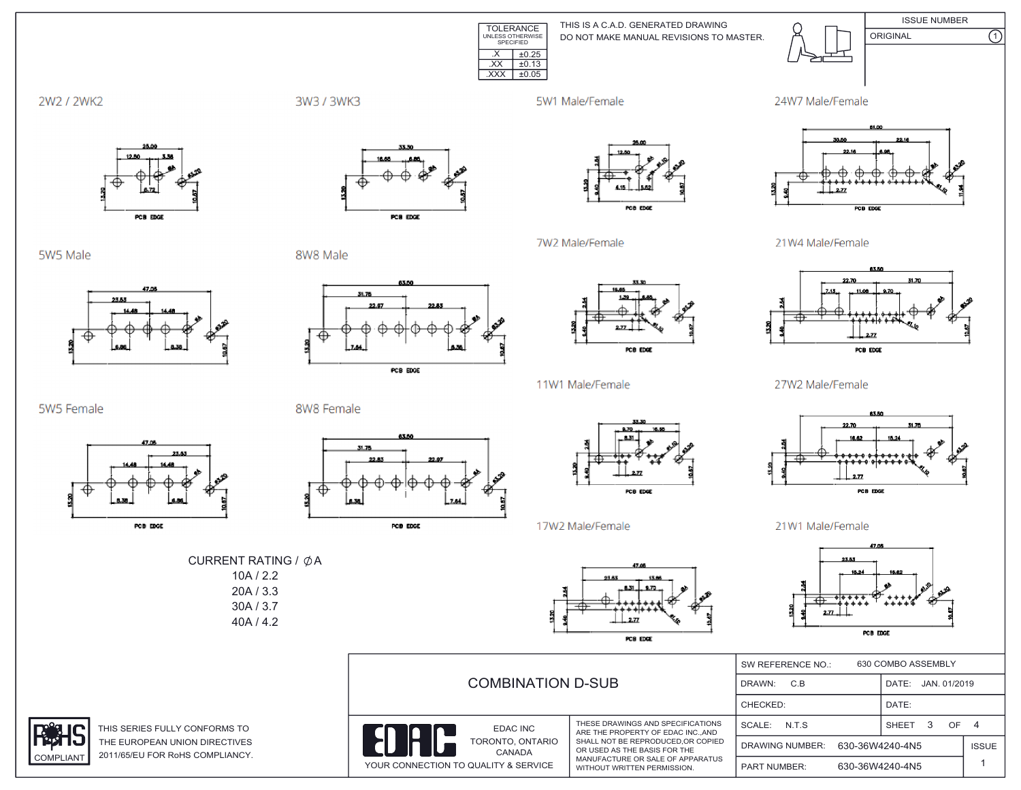

THIS IS A C.A.D. GENERATED DRAWING DO NOT MAKE MANUAL REVISIONS TO MASTER.



**ISSUE NUMBER**  $\overline{\Omega}$ ORIGINAL



3W3 / 3WK3

5W1 Male/Female

7W2 Male/Female





5W5 Male

**COMPLIANT** 



PCB EDGE

8W8 Male



PCB EDGE



POB EDGE

11W1 Male/Female

21W4 Male/Female



27W2 Male/Female



21W1 Male/Female



|  | <b>COMBINATION D-SUB</b>                                           |                                                                                                                                                                                                              | 630 COMBO ASSEMBLY<br>SW REFERENCE NO.:   |                 |                    |                |
|--|--------------------------------------------------------------------|--------------------------------------------------------------------------------------------------------------------------------------------------------------------------------------------------------------|-------------------------------------------|-----------------|--------------------|----------------|
|  |                                                                    |                                                                                                                                                                                                              | C.B<br>DRAWN:                             |                 | DATE: JAN. 01/2019 |                |
|  |                                                                    |                                                                                                                                                                                                              | CHECKED:                                  |                 | DATE:              |                |
|  | EDAC INC                                                           | THESE DRAWINGS AND SPECIFICATIONS<br>ARE THE PROPERTY OF EDAC INCAND<br>SHALL NOT BE REPRODUCED.OR COPIED<br>OR USED AS THE BASIS FOR THE<br>MANUFACTURE OR SALE OF APPARATUS<br>WITHOUT WRITTEN PERMISSION. | N.T.S<br>SCALE:                           |                 | SHEET 3<br>OF.     | $\overline{a}$ |
|  | TORONTO, ONTARIO<br>CANADA<br>YOUR CONNECTION TO QUALITY & SERVICE |                                                                                                                                                                                                              | 630-36W4240-4N5<br><b>DRAWING NUMBER:</b> |                 | <b>ISSUE</b>       |                |
|  |                                                                    |                                                                                                                                                                                                              | <b>PART NUMBER:</b>                       | 630-36W4240-4N5 |                    |                |

5W5 Female



THIS SERIES FULLY CONFORMS TO THE EUROPEAN UNION DIRECTIVES 2011/65/EU FOR RoHS COMPLIANCY.







17W2 Male/Female







PCB EDGE